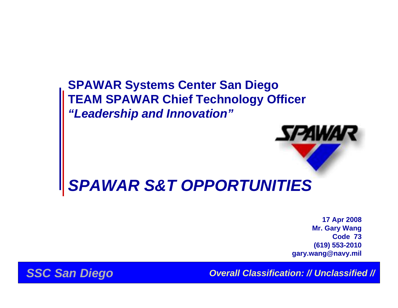### **SPAWAR Systems Center San Diego TEAM SPAWAR Chief Technology Officer** *"Leadership and Innovation"*

## *SPAWAR S&T OPPORTUNITIES*

**17 Apr 2008 Mr. Gary Wang Code 73(619) 553-2010 gary.wang@navy.mil**

**SPAWAR** 

*SSC San Diego Overall Classification: // Unclassified //*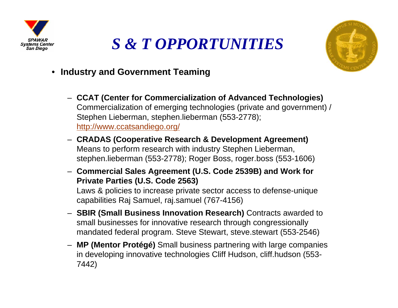

# *S & T OPPORTUNITIES*



- **Industry and Government Teaming**
	- **CCAT (Center for Commercialization of Advanced Technologies)**  Commercialization of emerging technologies (private and government) / Stephen Lieberman, stephen.lieberman (553-2778); <http://www.ccatsandiego.org/>
	- **CRADAS (Cooperative Research & Development Agreement)** Means to perform research with industry Stephen Lieberman, stephen.lieberman (553-2778); Roger Boss, roger.boss (553-1606)
	- **Commercial Sales Agreement (U.S. Code 2539B) and Work for Private Parties (U.S. Code 2563)**

Laws & policies to increase private sector access to defense-unique capabilities Raj Samuel, raj.samuel (767-4156)

- **SBIR (Small Business Innovation Research)** Contracts awarded to small businesses for innovative research through congressionally mandated federal program. Steve Stewart, steve.stewart (553-2546)
- **MP (Mentor Protégé)** Small business partnering with large companies in developing innovative technologies Cliff Hudson, cliff.hudson (553- 7442)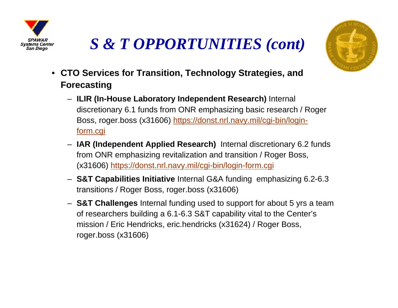

# *S & T OPPORTUNITIES (cont)*



- **CTO Services for Transition, Technology Strategies, and Forecasting**
	- **ILIR (In-House Laboratory Independent Research)** Internal discretionary 6.1 funds from ONR emphasizing basic research / Roger Boss, roger.boss [\(x31606\) https://donst.nrl.navy.mil/cgi-bin/login](https://donst.nrl.navy.mil/cgi-bin/login-form.cgi)[form.cgi](https://donst.nrl.navy.mil/cgi-bin/login-form.cgi)
	- **IAR (Independent Applied Research)** Internal discretionary 6.2 funds from ONR emphasizing revitalization and transition / Roger Boss, (x31606)<https://donst.nrl.navy.mil/cgi-bin/login-form.cgi>
	- **S&T Capabilities Initiative** Internal G&A funding emphasizing 6.2-6.3 transitions / Roger Boss, roger.boss (x31606)
	- **S&T Challenges** Internal funding used to support for about 5 yrs a team of researchers building a 6.1-6.3 S&T capability vital to the Center's mission / Eric Hendricks, eric.hendricks (x31624) / Roger Boss, roger.boss (x31606)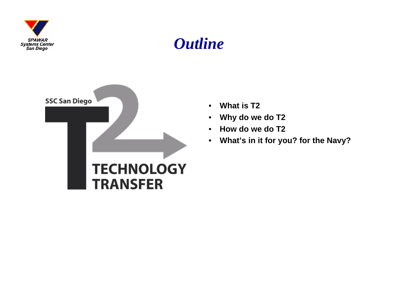

### *Outline*



- •**What is T2**
- •**Why do we do T2**
- •**How do we do T2**
- •**What's in it for you? for the Navy?**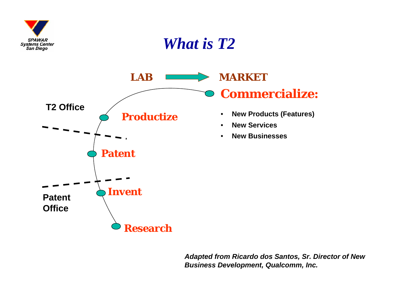

### *What is T2*



*Adapted from Ricardo dos Santos, Sr. Director of New Business Development, Qualcomm, Inc.*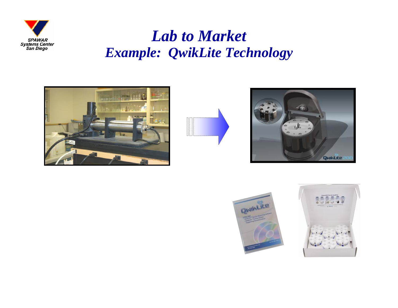

### *Lab to Market Example: QwikLite Technology*









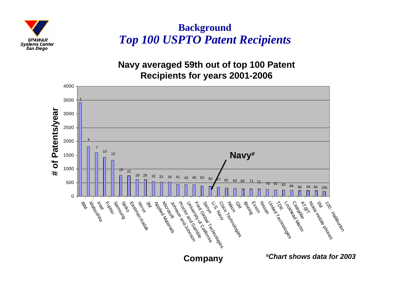

### **Background** *Top 100 USPTO Patent Recipients*

**Navy averaged 59th out of top 100 Patent Recipients for years 2001-2006**

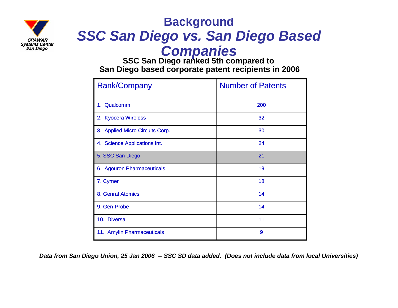

### **Background** *SSC San Diego vs. San Diego Based Companies*

**SSC San Diego ranked 5th compared to San Diego based corporate patent recipients in 2006**

| <b>Rank/Company</b>             | <b>Number of Patents</b> |
|---------------------------------|--------------------------|
| 1. Qualcomm                     | 200                      |
| 2. Kyocera Wireless             | 32                       |
| 3. Applied Micro Circuits Corp. | 30                       |
| 4. Science Applications Int.    | 24                       |
| 5. SSC San Diego                | 21                       |
| 6. Agouron Pharmaceuticals      | 19                       |
| 7. Cymer                        | 18                       |
| 8. Genral Atomics               | 14                       |
| 9. Gen-Probe                    | 14                       |
| 10. Diversa                     | 11                       |
| 11. Amylin Pharmaceuticals      | 9                        |

*Data from San Diego Union, 25 Jan 2006 -- SSC SD data added. (Does not include data from local Universities)*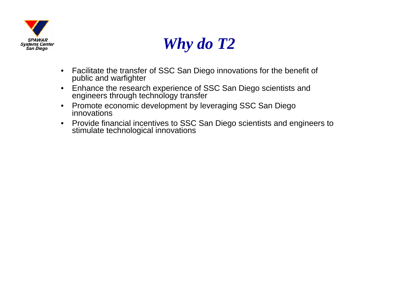

### *Why do T2*

- •Facilitate the transfer of SSC San Diego innovations for the benefit of public and warfighter
- $\bullet$ Enhance the research experience of SSC San Diego scientists and engineers through technology transfer
- $\bullet$ Promote economic development by leveraging SSC San Diego innovations
- $\bullet$ Provide financial incentives to SSC San Diego scientists and engineers to stimulate technological innovations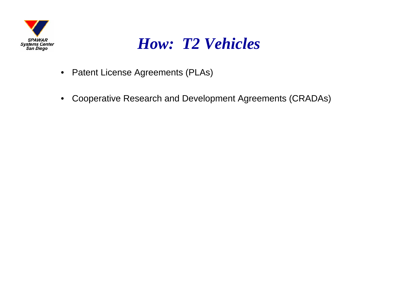

### *How: T2 Vehicles*

- Patent License Agreements (PLAs)
- $\bullet$ Cooperative Research and Development Agreements (CRADAs)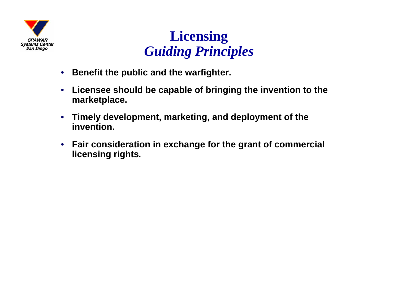

### **Licensing** *Guiding Principles*

- **Benefit the public and the warfighter.**
- **Licensee should be capable of bringing the invention to the marketplace.**
- **Timely development, marketing, and deployment of the invention.**
- **Fair consideration in exchange for the grant of commercial licensing rights***.*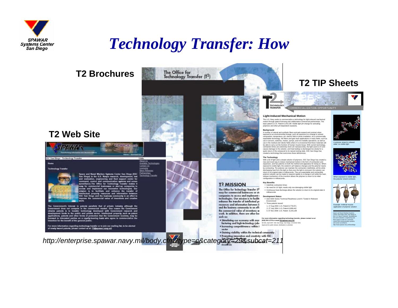

# *Technology Transfer: How*

**T2 Brochures**

The Office for Technology Transfer (T<sup>2</sup>)

**T2 Web Site**



#### **House**

**Technology Transfer** 



loans and Nevel Werfare Sederow Center San Illega (SSC ord in the U.S. Newy's a SSC San Diego and the boat city in an offset to

ot's interest in patents perallels that of pr at does not compete in the commercial market. One reason the Go patents is to transfer technology developed with Government research and est funds to the public and private sector. Intellectual property, such as patent to, patrolls and other forms of protection that the Gre of receives, may b med to interested parties on a repully-bearing basis who agree to commerciative the<br>ation for the bonefit of the general public.

For more information regarding inchestogy transfer at to join our mailing flat, to be alorted<br>of newly issued patents, please contact on at 1200ng ment.meg.coll

*http://enterprise.spawar.navy.mil/body.cfm?type=c&category=29&subcat=211*





**UTB** 

#### **T2 MISSION**

The Office for Technology Transfer (T<sup>2</sup> easy for commercial businesses or stcompanies to access and implement technologies. Our mission is to facility enhance the transfer of intellectual pr resources and information between S and the business community in an effi the commercial value of inventions at work. In addition, there are other be such as:

. Stinwlating our economy with mor facturing and high-technology jobs . Increasing competitiveness within t sector

. Gaining visibility within the technical community

### **T2 TIP Sheets**



**Light-Induced Mechanical Motion**

The U.S. Navy seeks to commercialize a technology for light-induced mechanical motion through patent licensing and collaborative commercial partnerships. The base patent is U.S. Patent 6,143,138: Visible light pH change for activating polymers and other pH dependent reactants.

#### **Background**

A number of natural and synthetic fibers and gels expand and contract when exposed to an environmental change, such as exposure to a change in solvent<br>composition, temperature, pH, electric field or photo irradiation. As a commercially<br>exploitable technology, the fibers and gels have applications use in sensors, switches, motors, pumps, and non-metallic operations; as well as<br>use in the medical and robotic fields where it is envisioned that these materials will<br>be able to carry out the function of human muscle tiss causes damage to the solution, and heat buildup is discharged too slowly for a quick return of the compound to its natural resting state. SSC San Diego has created a technology that overcomes these deficiencies.

#### **The Technology**

With a bit of light and a simple solution of polymers, SSC San Diego has created a new and novel way to induce mechanical motion in the form of contraction and expansion, and has patents on both the method and apparatus for doing so. When exposed to visible light, the solution's pH balance changes and the polymer reacts<br>by contracting. The polymer can maintain the contraction indefinitely, all the while<br>discharging heat from the light so that once the light polymer solution can be made to respond rapidly to a change in pH while the heat-release mechanism of the invention allows the polymer to return to its initial configuration in milliseconds.

#### **Key Benefits**

 Indefinite contraction times No need for UV light; needs only non-damaging visible light Continuous heat discharge allows the solution to return to its original state in milliseconds

#### **Development Status**

- DoD 5000 Series Technical Readiness Level 6: Tested in Relevant Environment
- Three patents issued:
	- 1. 17 Aug 2004: U.S. Patent 6,776,971 2. 27 July 2004: U.S. Patent 6,699,442
	- 3. 07 Nov 2000: U.S. Patent 6,143,138

**For more information regarding technology transfer, please contact us at (619) 553–2778 or email t2@spawar.navy.mil**

SD 691, April 2007. SSC San Diego, San Diego, CA 92152–5001 Approved for public release; distribution is unlimited.



#### Example: Artificial muscle application of polymer solution

Space and Naval Warfare Systems Center San Diego (SSC San Diego) is the U.S. Navy's research, development, test and evaluation, engineering and fleet support center for command, control and communication systems and ocean surveillance.http://www.spawar.navy.mil/sandiego





When to visible the polymer strand contracts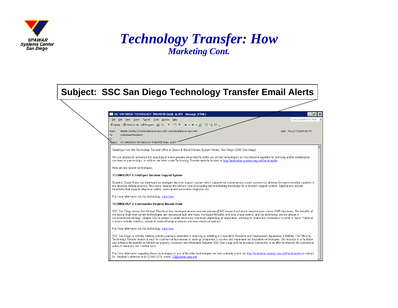

### *Technology Transfer: How Marketing Cont.*

| Subject: SSC San Diego Technology Transfer Email Alerts                                                                                                                                                                                                                                                                                                                                                                                                                                                                                                                                                     |
|-------------------------------------------------------------------------------------------------------------------------------------------------------------------------------------------------------------------------------------------------------------------------------------------------------------------------------------------------------------------------------------------------------------------------------------------------------------------------------------------------------------------------------------------------------------------------------------------------------------|
|                                                                                                                                                                                                                                                                                                                                                                                                                                                                                                                                                                                                             |
| SSC SAN DIEGO TECHNOLOGY TRANSFER EMAIL ALERT - Message (HTML)<br>Ð.                                                                                                                                                                                                                                                                                                                                                                                                                                                                                                                                        |
| Type a question for help<br>Edit View Insert Format Tools Actions Help<br>©vReply   ©xReply to All   \$@Forward   ⊕ ha   ▼   B X   ▲ - ◆ - &   ② B & & _                                                                                                                                                                                                                                                                                                                                                                                                                                                    |
| Vincent Crowley [vcrowley@spawar.navy.mil] <vcrowley@spawar.navy.mil><br/>Sent: Thu 1/17/2008 5:01 PM<br/>From:<br/>Undisclosed-Recipient:;<br/>To:<br/>Cc:</vcrowley@spawar.navy.mil>                                                                                                                                                                                                                                                                                                                                                                                                                      |
| Subject: SSC SAN DIEGO TECHNOLOGY TRANSFER EMAIL ALERT                                                                                                                                                                                                                                                                                                                                                                                                                                                                                                                                                      |
| Greetings from the Technology Transfer office at Space & Naval Warfare System Center, San Diegol (SSC San Diego)                                                                                                                                                                                                                                                                                                                                                                                                                                                                                            |
| We are pleased to announce the launching of a new periodic email alert to notify you of new technologies as they become available for licensing and/or collaborative<br>commercial partnerships. In addition we have a new Technology Transfer website located at http://enterprise.spawar.navy.mil/techtransfer.                                                                                                                                                                                                                                                                                           |
| Here are two recent technologies:                                                                                                                                                                                                                                                                                                                                                                                                                                                                                                                                                                           |
| <b>TECHNOLOGY 1: Intelligent Decision Support System</b>                                                                                                                                                                                                                                                                                                                                                                                                                                                                                                                                                    |
| Scientist Stuart Rubin has developed an intelligent decision support system which outperforms contemporary expert systems by allowing for user-controlled creativity in<br>the decision making process. This vastly reduces the primary cost of acquiring and maintaining knowledge for a decision support system. Applications include:<br>helpdesks that support telephone callers, medical and automotive diagnosis, etc.                                                                                                                                                                                |
| For more information on this technology, click here                                                                                                                                                                                                                                                                                                                                                                                                                                                                                                                                                         |
| TECHNOLOGY 2: Electroactive Polymer Biaxial Braid                                                                                                                                                                                                                                                                                                                                                                                                                                                                                                                                                           |
| SSC San Diego researcher Michael Blackburn has developed an electroactive polymer (EAP) biaxial braid which revolutionizes current EAP structures. The benefits of<br>the biaxial braid over current technologies are: decreased bulk and mass, increased flexibility and local shape control, and the technology can be utilized in<br>unconventional settings. Shapes can be woven to create necessary structures depending on application, allowing for snake-like movements to climb or swim. Potential<br>markets include: robotics, industrial, medical/surgical devices and nano electrical devices. |
| For more information on this technology, click here                                                                                                                                                                                                                                                                                                                                                                                                                                                                                                                                                         |
| SSC San Diego is actively seeking industry partners interested in licensing or initiating a Cooperative Research and Development Agreement (CRADA). The Office for<br>Technology Transfer makes it easy for commercial businesses or start-up companies to access and implement our innovative technologies. Our mission is to facilitate<br>and enhance the transfer of intellectual property resources and information between SSC San Diego and the business community in an effort to improve the commercial<br>value of inventions and creative work.                                                  |
| For more information regarding these technologies or any of the other technologies we have available check out http://enterprise.spawar.navy.mil/techtransfer or contact<br>Dr. Stephen Lieberman at (619) 553-2778, email: T2@spawar.navy.mil.                                                                                                                                                                                                                                                                                                                                                             |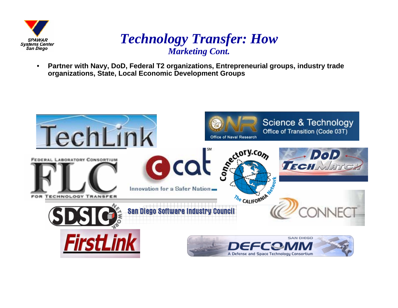

### *Technology Transfer: How Marketing Cont.*

• **Partner with Navy, DoD, Federal T2 organizations, Entrepreneurial groups, industry trade organizations, State, Local Economic Development Groups**

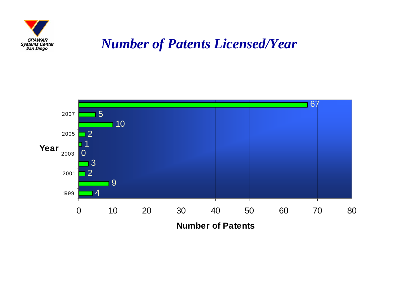

### *Number of Patents Licensed/Year*

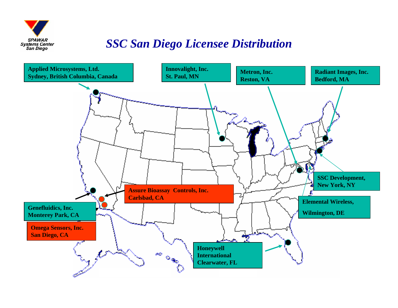

### *SSC San Diego Licensee Distribution*

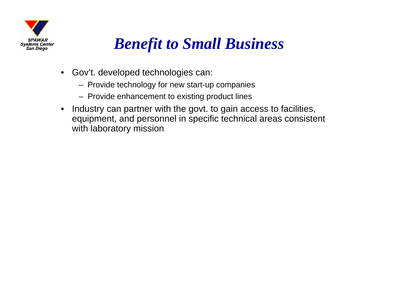

# *Benefit to Small Business*

- $\bullet$  Gov't. developed technologies can:
	- Provide technology for new start-up companies
	- Provide enhancement to existing product lines
- Industry can partner with the govt. to gain access to facilities, equipment, and personnel in specific technical areas consistent with laboratory mission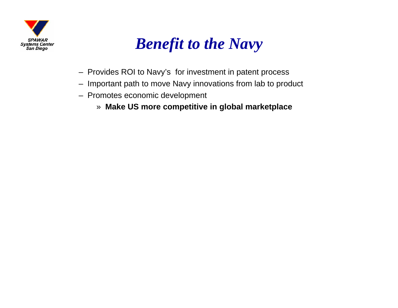

## *Benefit to the Navy*

- Provides ROI to Navy's for investment in patent process
- Important path to move Navy innovations from lab to product
- Promotes economic development
	- » **Make US more competitive in global marketplace**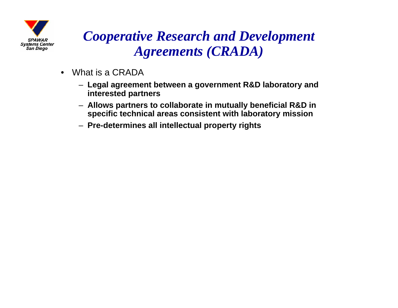

### *Cooperative Research and Development Agreements (CRADA)*

- $\bullet$  What is a CRADA
	- **Legal agreement between a government R&D laboratory and interested partners**
	- **Allows partners to collaborate in mutually beneficial R&D in specific technical areas consistent with laboratory mission**
	- **Pre-determines all intellectual property rights**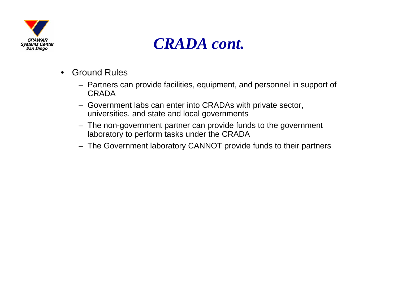

### *CRADA cont.*

- $\bullet$  Ground Rules
	- Partners can provide facilities, equipment, and personnel in support of CRADA
	- Government labs can enter into CRADAs with private sector, universities, and state and local governments
	- The non-government partner can provide funds to the government laboratory to perform tasks under the CRADA
	- The Government laboratory CANNOT provide funds to their partners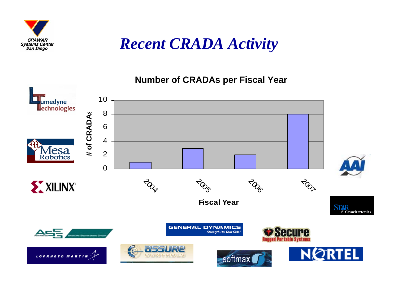

### *Recent CRADA Activity*

### **Number of CRADAs per Fiscal Year**

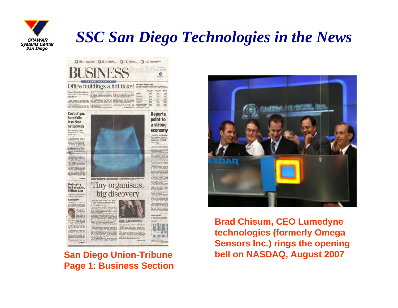

# *SSC San Diego Technologies in the News*



### **San Diego Union-Tribune Page 1: Business Section**



**Brad Chisum, CEO Lumedyne technologies (formerly Omega Sensors Inc.) rings the opening bell on NASDAQ, August 2007**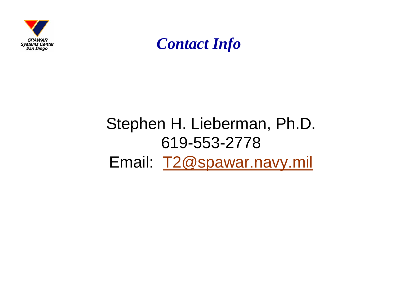



# Stephen H. Lieberman, Ph.D. 619-553-2778 Email: [T2@spawar.navy.mil](mailto:T2@spawar.navy.mil)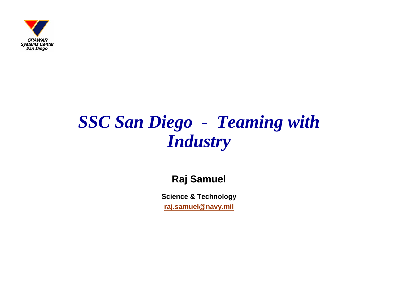

# *SSC San Diego - Teaming with Industry*

### **Raj Samuel**

**Science & Technology [raj.samuel@navy.mil](mailto:raj.samuel@navy.mil)**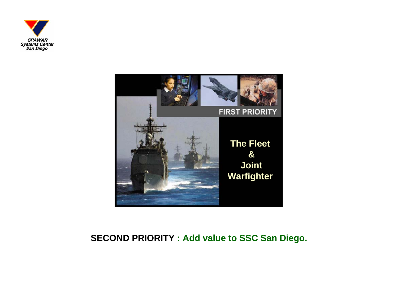



#### **SECOND PRIORITY : Add value to SSC San Diego.**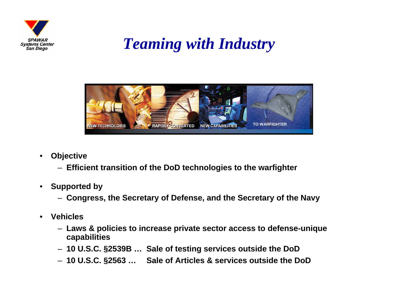

# *Teaming with Industry*



- • **Objective**
	- **Efficient transition of the DoD technologies to the warfighter**
- • **Supported by**
	- **Congress, the Secretary of Defense, and the Secretary of the Navy**
- • **Vehicles**
	- **Laws & policies to increase private sector access to defense-unique capabilities**
	- **10 U.S.C. §2539B … Sale of testing services outside the DoD**
	- **10 U.S.C. §2563 … Sale of Articles & services outside the DoD**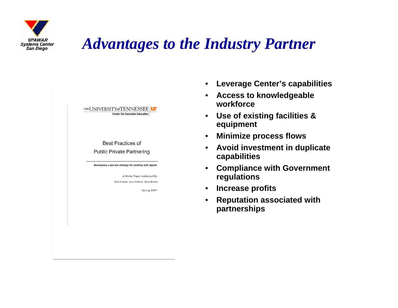

## *Advantages to the Industry Partner*



- $\bullet$ **Leverage Center's capabilities**
- $\bullet$  **Access to knowledgeable workforce**
- $\bullet$  **Use of existing facilities & equipment**
- $\bullet$ **Minimize process flows**
- $\bullet$  **Avoid investment in duplicate capabilities**
- • **Compliance with Government regulations**
- $\bullet$ **Increase profits**
- • **Reputation associated with partnerships**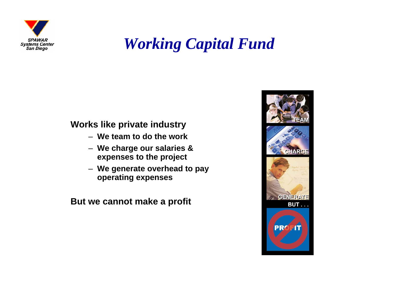

# *Working Capital Fund*

### **Works like private industry**

- **We team to do the work**
- **We charge our salaries & expenses to the project**
- **We generate overhead to pay operating expenses**

**But we cannot make a profit**

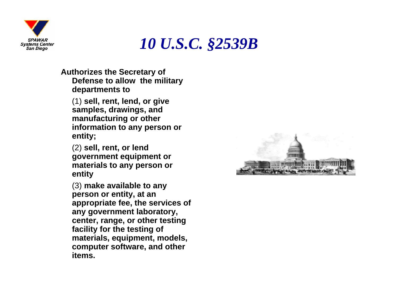

### *10 U.S.C. §2539B*

#### **Authorizes the Secretary of Defense to allow the military departments to**

(1) **sell, rent, lend, or give samples, drawings, and manufacturing or other information to any person or entity;** 

(2) **sell, rent, or lend government equipment or materials to any person or entity**

(3) **make available to any person or entity, at an appropriate fee, the services of any government laboratory, center, range, or other testing facility for the testing of materials, equipment, models, computer software, and other items.** 

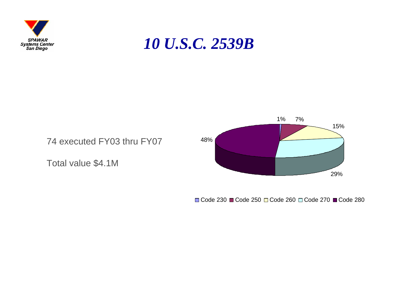

### *10 U.S.C. 2539B*



Code 230 **■** Code 250 ■ Code 260 □ Code 270 ■ Code 280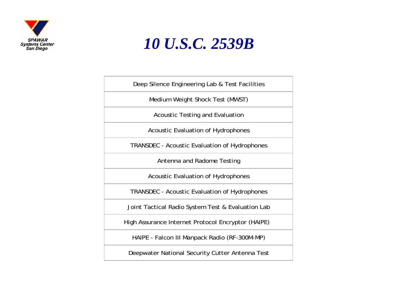

### *10 U.S.C. 2539B*

Deep Silence Engineering Lab & Test Facilities

Medium Weight Shock Test (MWST)

Acoustic Testing and Evaluation

Acoustic Evaluation of Hydrophones

TRANSDEC - Acoustic Evaluation of Hydrophones

Antenna and Radome Testing

Acoustic Evaluation of Hydrophones

TRANSDEC - Acoustic Evaluation of Hydrophones

Joint Tactical Radio System Test & Evaluation Lab

High Assurance Internet Protocol Encryptor (HAIPE)

HAIPE - Falcon III Manpack Radio (RF-300M-MP)

Deepwater National Security Cutter Antenna Test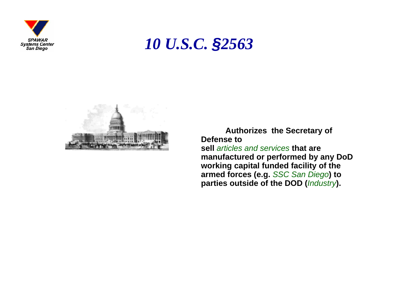

### *10 U.S.C. §2563*



**Authorizes the Secretary of Defense to sell** *articles and services* **that are manufactured or performed by any DoD working capital funded facility of the armed forces (e.g.** *SSC San Diego***) to parties outside of the DOD (***Industry***).**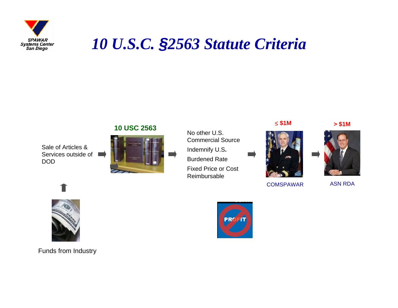

### *10 U.S.C. §2563 Statute Criteria*

#### **10 USC 2563**

Sale of Articles & Services outside of DOD



No other U.S. Commercial SourceIndemnify U.S**.** Burdened RateFixed Price or Cost Reimbursable





**> \$1M**



**COMSPAWAR** 

ASN RDA



Funds from Industry

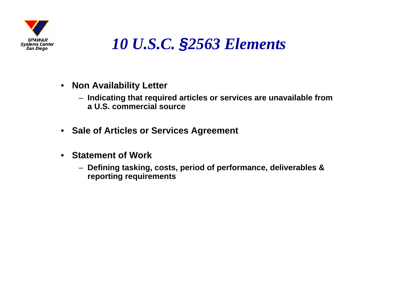

# *10 U.S.C. §2563 Elements*

- $\bullet$  **Non Availability Letter**
	- **Indicating that required articles or services are unavailable from a U.S. commercial source**
- **Sale of Articles or Services Agreement**
- **Statement of Work**
	- **Defining tasking, costs, period of performance, deliverables & reporting requirements**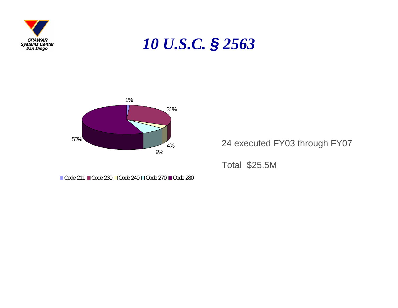

### *10 U.S.C. § 2563*



#### Code 211 **■ C**ode 230 **□ C**ode 240 □ Code 270 ■ Code 280

### 24 executed FY03 through FY07

Total \$25.5M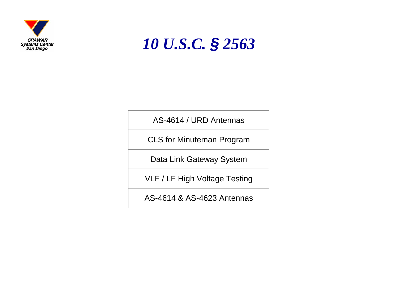

### *10 U.S.C. § 2563*

AS-4614 / URD Antennas

CLS for Minuteman Program

Data Link Gateway System

VLF / LF High Voltage Testing

AS-4614 & AS-4623 Antennas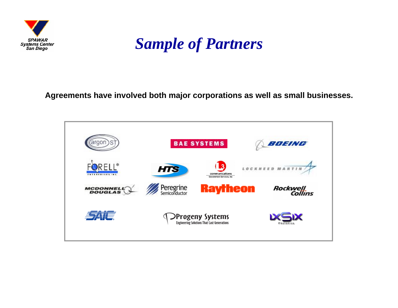



#### **Agreements have involved both major corporations as well as small businesses.**

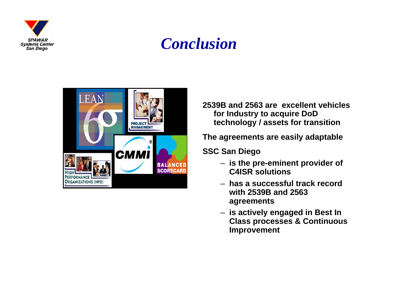

### *Conclusion*



#### **2539B and 2563 are excellent vehicles for Industry to acquire DoD technology / assets for transition**

**The agreements are easily adaptable**

#### **SSC San Diego**

- **is the pre-eminent provider of C4ISR solutions**
- **has a successful track record with 2539B and 2563 agreements**
- **is actively engaged in Best In Class processes & Continuous Improvement**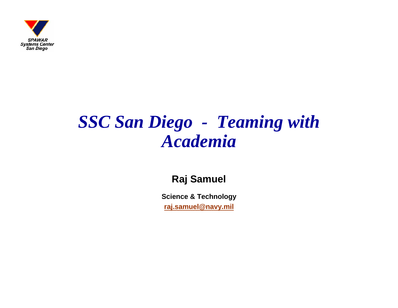

# *SSC San Diego - Teaming with Academia*

### **Raj Samuel**

**Science & Technology [raj.samuel@navy.mil](mailto:raj.samuel@navy.mil)**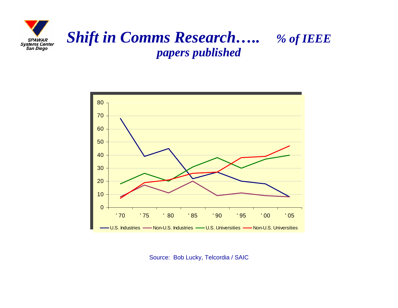

### *Shift in Comms Research….. % of IEEE papers published*



Source: Bob L ucky, Telcordia / SAIC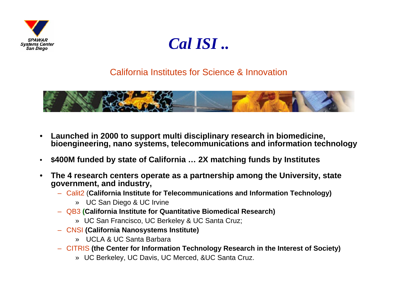

### *Cal ISI ..*

### California Institutes for Science & Innovation



- • **Launched in 2000 to support multi disciplinary research in biomedicine, bioengineering, nano systems, telecommunications and information technology**
- •**\$400M funded by state of California … 2X matching funds by Institutes**
- • **The 4 research centers operate as a partnership among the University, state government, and industry,**
	- Calit2 (**California Institute for Telecommunications and Information Technology)** 
		- » UC San Diego & UC Irvine
	- QB3 **(California Institute for Quantitative Biomedical Research)** 
		- » UC San Francisco, UC Berkeley & UC Santa Cruz;
	- CNSI **(California Nanosystems Institute)** 
		- » UCLA & UC Santa Barbara
	- CITRIS **(the Center for Information Technology Research in the Interest of Society)** 
		- » UC Berkeley, UC Davis, UC Merced, &UC Santa Cruz.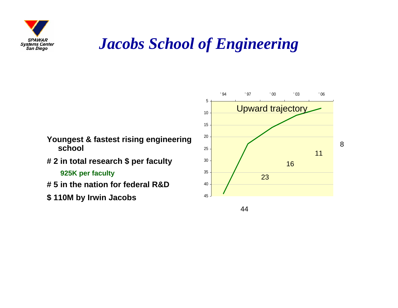

# *Jacobs School of Engineering*

- **Youngest & fastest rising engineering school**
- **# 2 in total research \$ per faculty**

**925K per faculty**

- **# 5 in the nation for federal R&D**
- **\$ 110M by Irwin Jacobs**

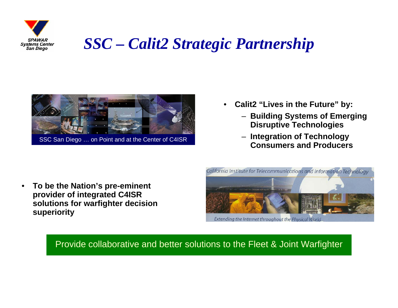

# *SSC – Calit2 Strategic Partnership*



- • **Calit2 "Lives in the Future" by:**
	- **Building Systems of Emerging Disruptive Technologies**
	- – **Integration of Technology Consumers and Producers**

• **To be the Nation's pre-eminent provider of integrated C4ISR solutions for warfighter decision superiority**



Extending the Internet throughout the Physical World

Provide collaborative and better solutions to the Fleet & Joint Warfighter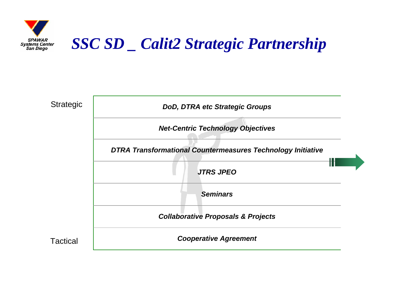

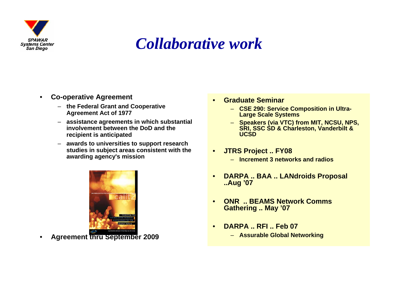

## *Collaborative work*

- • **Co-operative Agreement**
	- **the Federal Grant and Cooperative Agreement Act of 1977**
	- **assistance agreements in which substantial involvement between the DoD and the recipient is anticipated**
	- – **awards to universities to support research studies in subject areas consistent with the awarding agency's mission**



•**Agreement thru September 2009**

- • **Graduate Seminar**
	- **CSE 290: Service Composition in Ultra-Large Scale Systems**
	- – **Speakers (via VTC) from MIT, NCSU, NPS, SRI, SSC SD & Charleston, Vanderbilt & UCSD**
- • **JTRS Project .. FY08**
	- **Increment 3 networks and radios**
- • **DARPA .. BAA .. LANdroids Proposal ..Aug '07**
- • **ONR .. BEAMS Network CommsGathering .. May '07**
- • **DARPA .. RFI .. Feb 07**– **Assurable Global Networking**